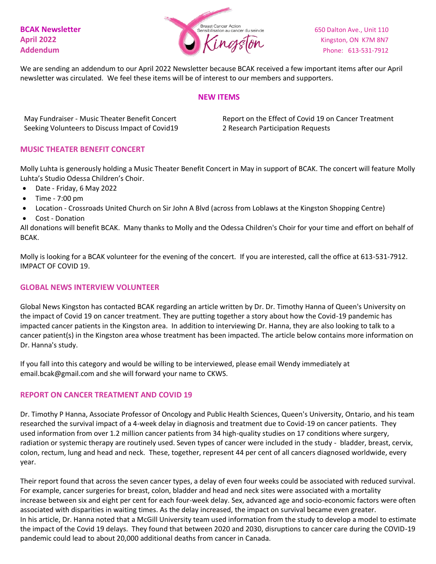

We are sending an addendum to our April 2022 Newsletter because BCAK received a few important items after our April newsletter was circulated. We feel these items will be of interest to our members and supporters.

#### **NEW ITEMS**

May Fundraiser - Music Theater Benefit Concert Seeking Volunteers to Discuss Impact of Covid19 Report on the Effect of Covid 19 on Cancer Treatment 2 Research Participation Requests

### **MUSIC THEATER BENEFIT CONCERT**

Molly Luhta is generously holding a Music Theater Benefit Concert in May in support of BCAK. The concert will feature Molly Luhta's Studio Odessa Children's Choir.

- Date Friday, 6 May 2022
- Time 7:00 pm
- Location Crossroads United Church on Sir John A Blvd (across from Loblaws at the Kingston Shopping Centre)
- Cost Donation

All donations will benefit BCAK. Many thanks to Molly and the Odessa Children's Choir for your time and effort on behalf of BCAK.

Molly is looking for a BCAK volunteer for the evening of the concert. If you are interested, call the office at 613-531-7912. IMPACT OF COVID 19.

### **GLOBAL NEWS INTERVIEW VOLUNTEER**

Global News Kingston has contacted BCAK regarding an article written by Dr. Dr. Timothy Hanna of Queen's University on the impact of Covid 19 on cancer treatment. They are putting together a story about how the Covid-19 pandemic has impacted cancer patients in the Kingston area. In addition to interviewing Dr. Hanna, they are also looking to talk to a cancer patient(s) in the Kingston area whose treatment has been impacted. The article below contains more information on Dr. Hanna's study.

If you fall into this category and would be willing to be interviewed, please email Wendy immediately at email.bcak@gmail.com and she will forward your name to CKWS.

### **REPORT ON CANCER TREATMENT AND COVID 19**

Dr. Timothy P Hanna, Associate Professor of Oncology and Public Health Sciences, Queen's University, Ontario, and his team researched the survival impact of a 4-week delay in diagnosis and treatment due to Covid-19 on cancer patients. They used information from over 1.2 million cancer patients from 34 high-quality studies on 17 conditions where surgery, radiation or systemic therapy are routinely used. Seven types of cancer were included in the study - bladder, breast, cervix, colon, rectum, lung and head and neck. These, together, represent 44 per cent of all cancers diagnosed worldwide, every year.

Their report found that across the seven cancer types, a delay of even four weeks could be associated with reduced survival. For example, cancer surgeries for breast, colon, bladder and head and neck sites were associated with a mortality increase between six and eight per cent for each four-week delay. Sex, advanced age and socio-economic factors were often associated with disparities in waiting times. As the delay increased, the impact on survival became even greater. In his article, Dr. Hanna noted that a McGill University team used information from the study to develop a model to estimate the impact of the Covid 19 delays. They found that between 2020 and 2030, disruptions to cancer care during the COVID-19 pandemic could lead to about 20,000 additional deaths from cancer in Canada.